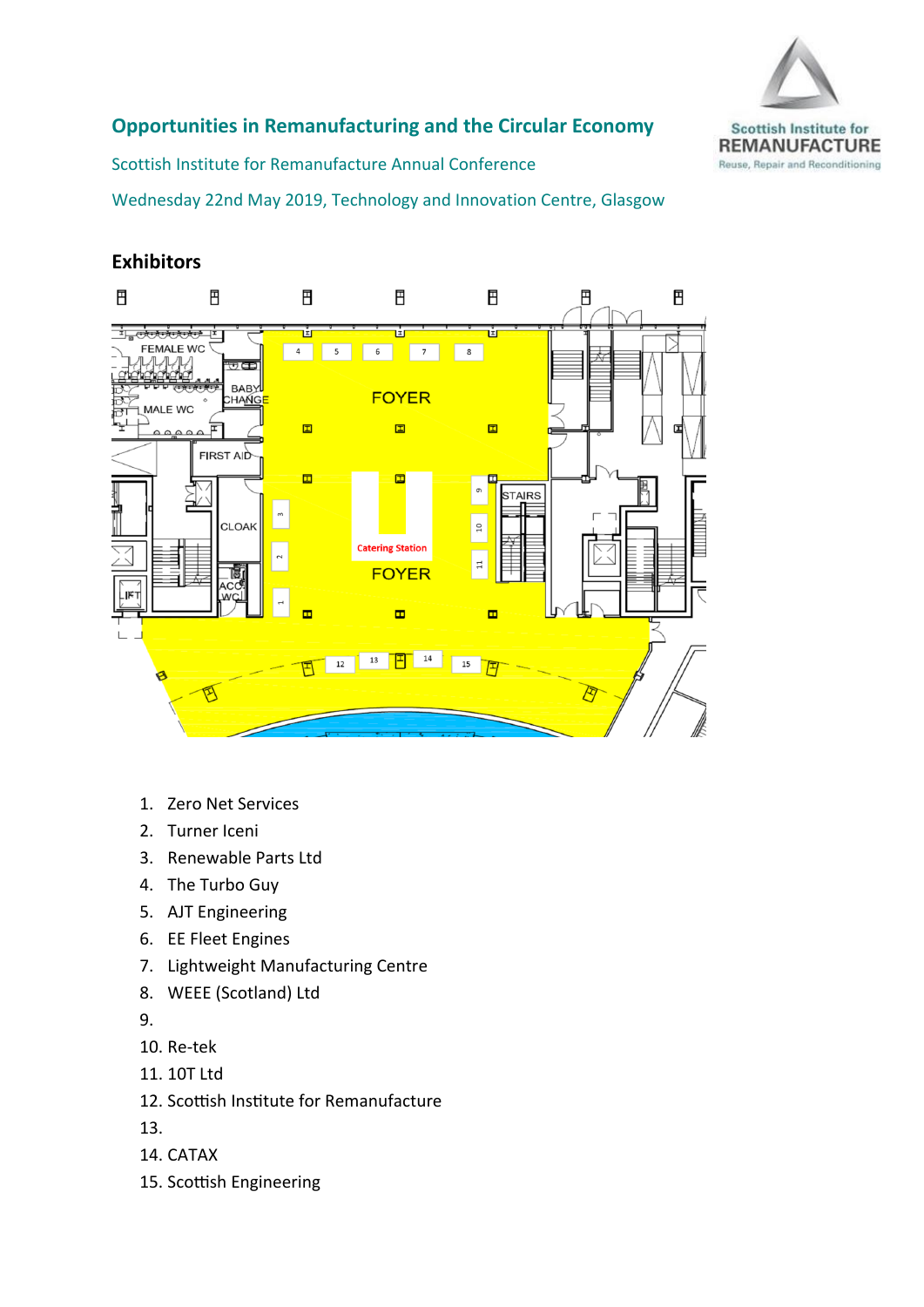

## **Opportunities in Remanufacturing and the Circular Economy**

Scottish Institute for Remanufacture Annual Conference

Wednesday 22nd May 2019, Technology and Innovation Centre, Glasgow

## **Exhibitors**



- 1. Zero Net Services
- 2. Turner Iceni
- 3. Renewable Parts Ltd
- 4. The Turbo Guy
- 5. AJT Engineering
- 6. EE Fleet Engines
- 7. Lightweight Manufacturing Centre
- 8. WEEE (Scotland) Ltd

9.

- 10. Re-tek
- 11. 10T Ltd
- 12. Scottish Institute for Remanufacture
- 13.
- 14. CATAX
- 15. Scottish Engineering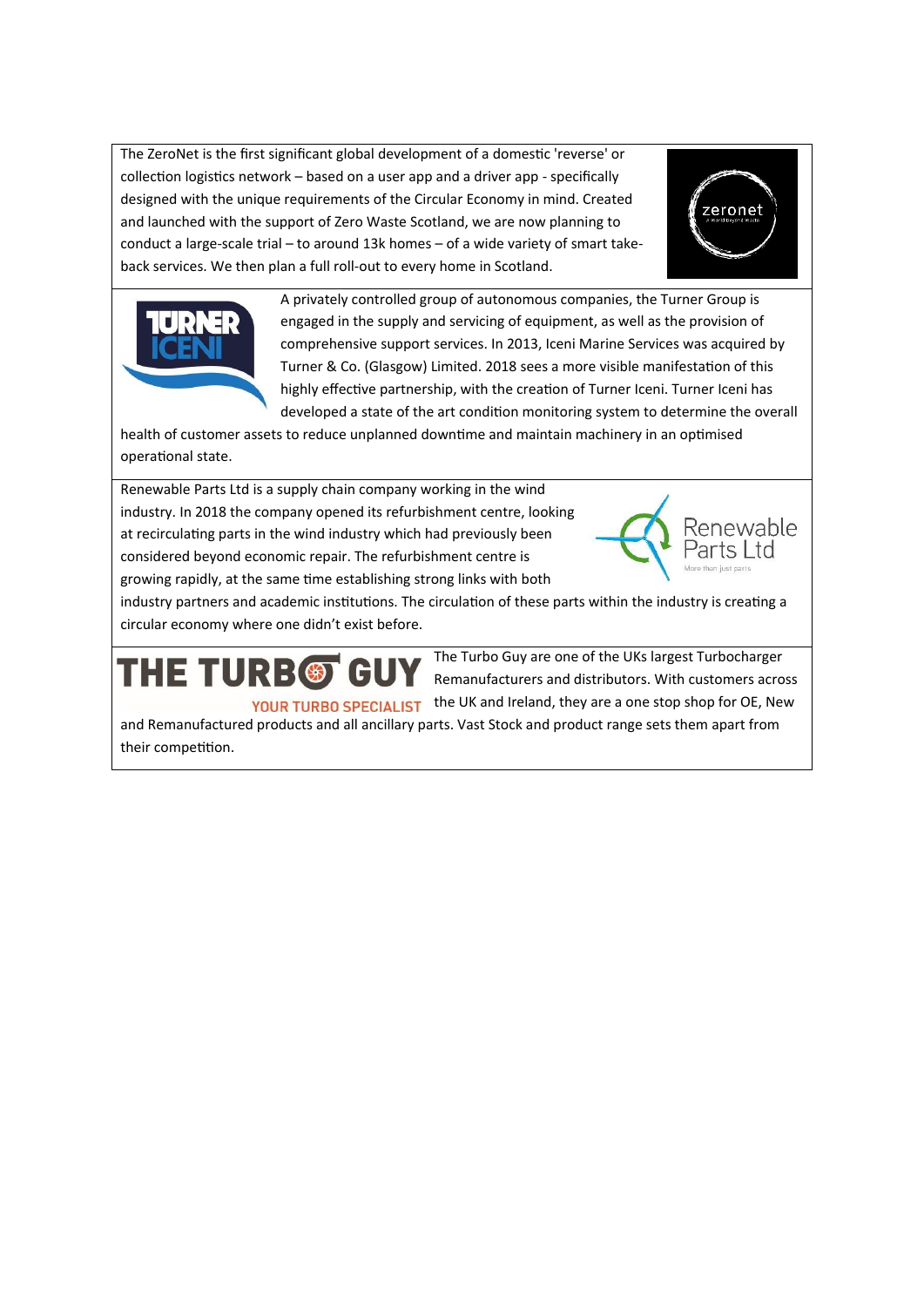The ZeroNet is the first significant global development of a domestic 'reverse' or collection logistics network – based on a user app and a driver app - specifically designed with the unique requirements of the Circular Economy in mind. Created and launched with the support of Zero Waste Scotland, we are now planning to conduct a large-scale trial – to around 13k homes – of a wide variety of smart takeback services. We then plan a full roll-out to every home in Scotland.





A privately controlled group of autonomous companies, the Turner Group is engaged in the supply and servicing of equipment, as well as the provision of comprehensive support services. In 2013, Iceni Marine Services was acquired by Turner & Co. (Glasgow) Limited. 2018 sees a more visible manifestation of this highly effective partnership, with the creation of Turner Iceni. Turner Iceni has developed a state of the art condition monitoring system to determine the overall

health of customer assets to reduce unplanned downtime and maintain machinery in an optimised operational state.

Renewable Parts Ltd is a supply chain company working in the wind industry. In 2018 the company opened its refurbishment centre, looking at recirculating parts in the wind industry which had previously been considered beyond economic repair. The refurbishment centre is growing rapidly, at the same time establishing strong links with both



industry partners and academic institutions. The circulation of these parts within the industry is creating a circular economy where one didn't exist before.

## **HE TURB®** Gl

The Turbo Guy are one of the UKs largest Turbocharger Remanufacturers and distributors. With customers across YOUR TURBO SPECIALIST the UK and Ireland, they are a one stop shop for OE, New

and Remanufactured products and all ancillary parts. Vast Stock and product range sets them apart from their competition.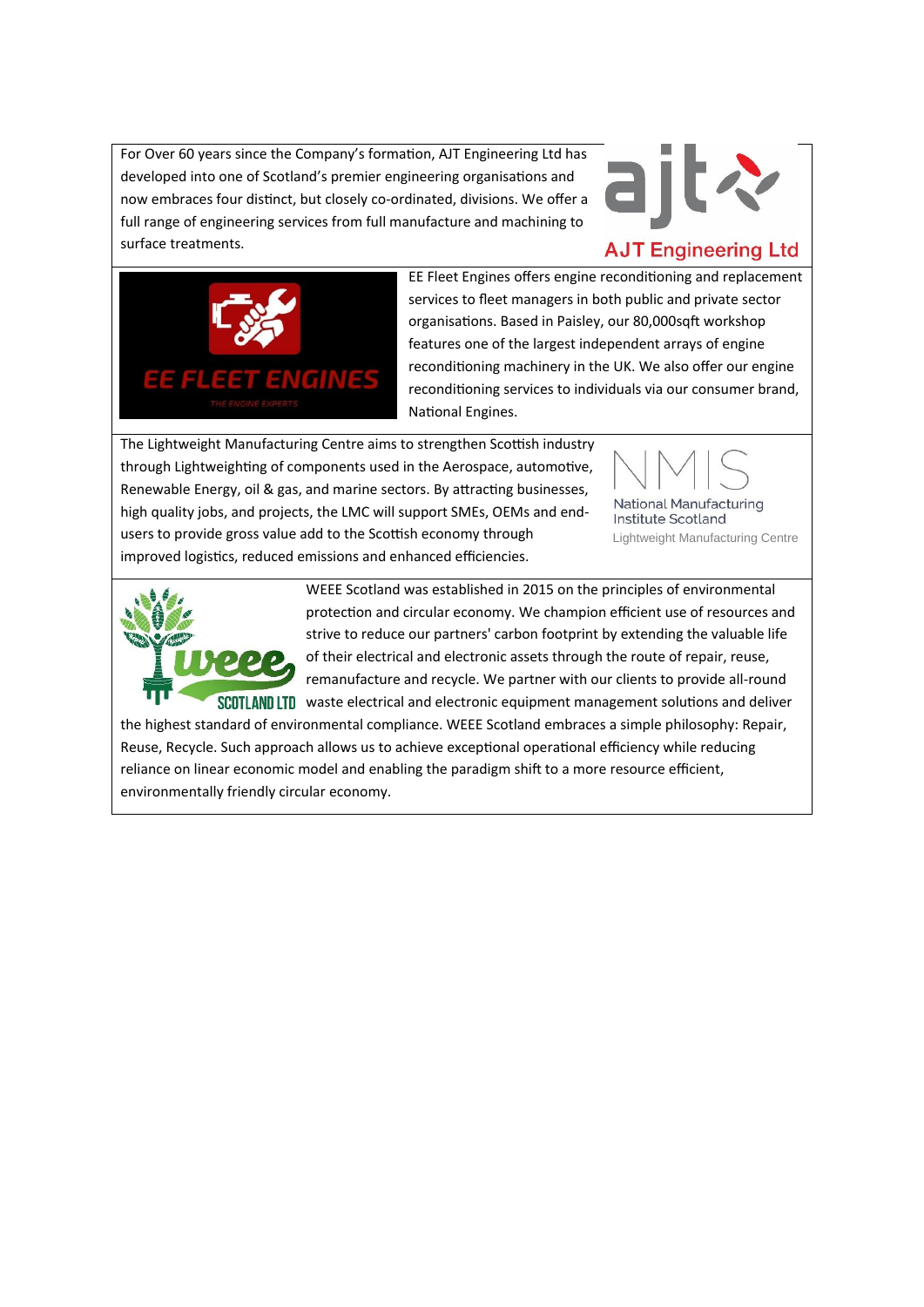For Over 60 years since the Company's formation, AJT Engineering Ltd has developed into one of Scotland's premier engineering organisations and now embraces four distinct, but closely co-ordinated, divisions. We offer a full range of engineering services from full manufacture and machining to surface treatments.



## **AJT Engineering Ltd**



EE Fleet Engines offers engine reconditioning and replacement services to fleet managers in both public and private sector organisations. Based in Paisley, our 80,000sqft workshop features one of the largest independent arrays of engine reconditioning machinery in the UK. We also offer our engine reconditioning services to individuals via our consumer brand, National Engines.

The Lightweight Manufacturing Centre aims to strengthen Scottish industry through Lightweighting of components used in the Aerospace, automotive, Renewable Energy, oil & gas, and marine sectors. By attracting businesses, high quality jobs, and projects, the LMC will support SMEs, OEMs and endusers to provide gross value add to the Scottish economy through improved logistics, reduced emissions and enhanced efficiencies.



Institute Scotland Lightweight Manufacturing Centre



WEEE Scotland was established in 2015 on the principles of environmental protection and circular economy. We champion efficient use of resources and strive to reduce our partners' carbon footprint by extending the valuable life of their electrical and electronic assets through the route of repair, reuse, remanufacture and recycle. We partner with our clients to provide all-round SCOTLAND LTD waste electrical and electronic equipment management solutions and deliver

the highest standard of environmental compliance. WEEE Scotland embraces a simple philosophy: Repair, Reuse, Recycle. Such approach allows us to achieve exceptional operational efficiency while reducing reliance on linear economic model and enabling the paradigm shift to a more resource efficient, environmentally friendly circular economy.